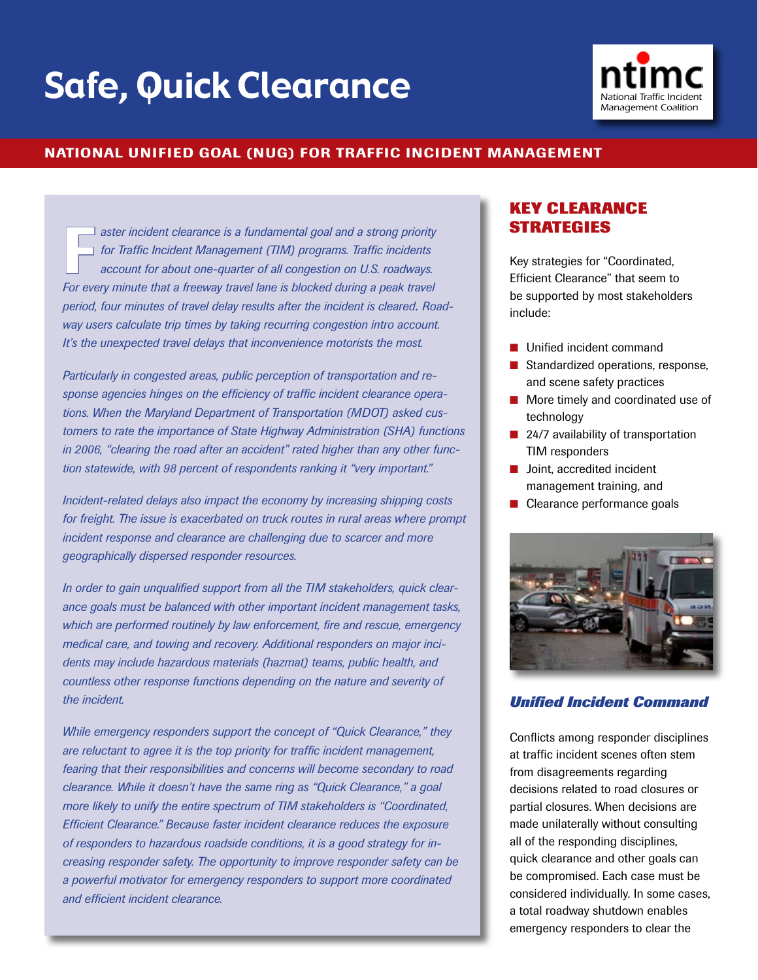# **Safe, Quick Clearance**



#### National Unified Goal (NUG) for Traffic Incident Management

**Faster incident clearance is a fundamental goal and a strong priority** *for Traffic Incident Management (TIM) programs. Traffic incidents account for about one-quarter of all congestion on U.S. roadways.*  For every minute that a freeway travel lane is blocked during a peak travel *period, four minutes of travel delay results after the incident is cleared*. *Roadway users calculate trip times by taking recurring congestion intro account. It's the unexpected travel delays that inconvenience motorists the most.*

*Particularly in congested areas, public perception of transportation and response agencies hinges on the efficiency of traffic incident clearance operations. When the Maryland Department of Transportation (MDOT) asked customers to rate the importance of State Highway Administration (SHA) functions in 2006, "clearing the road after an accident" rated higher than any other function statewide, with 98 percent of respondents ranking it "very important."* 

*Incident-related delays also impact the economy by increasing shipping costs for freight. The issue is exacerbated on truck routes in rural areas where prompt incident response and clearance are challenging due to scarcer and more geographically dispersed responder resources.* 

*In order to gain unqualified support from all the TIM stakeholders, quick clearance goals must be balanced with other important incident management tasks, which are performed routinely by law enforcement, fire and rescue, emergency medical care, and towing and recovery. Additional responders on major incidents may include hazardous materials (hazmat) teams, public health, and countless other response functions depending on the nature and severity of the incident.*

*While emergency responders support the concept of "Quick Clearance," they are reluctant to agree it is the top priority for traffic incident management, fearing that their responsibilities and concerns will become secondary to road clearance. While it doesn't have the same ring as "Quick Clearance," a goal more likely to unify the entire spectrum of TIM stakeholders is "Coordinated, Efficient Clearance." Because faster incident clearance reduces the exposure of responders to hazardous roadside conditions, it is a good strategy for increasing responder safety. The opportunity to improve responder safety can be a powerful motivator for emergency responders to support more coordinated and efficient incident clearance.* 

# **Key Clearance Strategies**

Key strategies for "Coordinated, Efficient Clearance" that seem to be supported by most stakeholders include:

- **n** Unified incident command
- Standardized operations, response, and scene safety practices
- $\blacksquare$  More timely and coordinated use of technology
- $\blacksquare$  24/7 availability of transportation TIM responders
- $\blacksquare$  Joint, accredited incident management training, and
- $\blacksquare$  Clearance performance goals



#### *Unified Incident Command*

Conflicts among responder disciplines at traffic incident scenes often stem from disagreements regarding decisions related to road closures or partial closures. When decisions are made unilaterally without consulting all of the responding disciplines, quick clearance and other goals can be compromised. Each case must be considered individually. In some cases, a total roadway shutdown enables emergency responders to clear the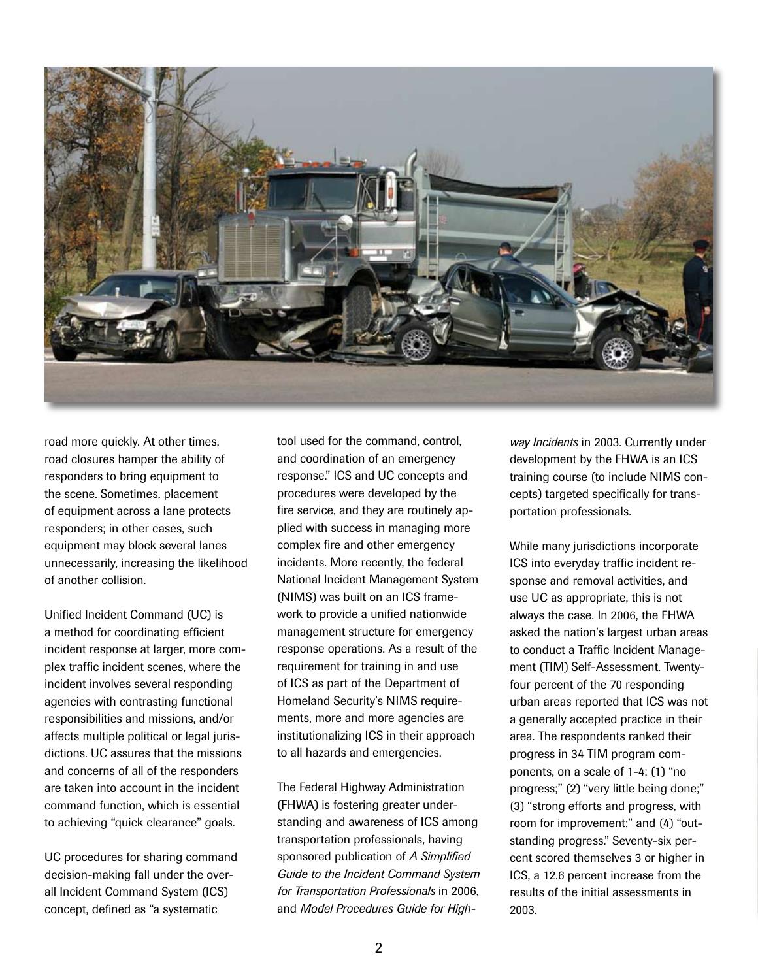

road more quickly. At other times, road closures hamper the ability of responders to bring equipment to the scene. Sometimes, placement of equipment across a lane protects responders; in other cases, such equipment may block several lanes unnecessarily, increasing the likelihood of another collision.

Unified Incident Command (UC) is a method for coordinating efficient incident response at larger, more complex traffic incident scenes, where the incident involves several responding agencies with contrasting functional responsibilities and missions, and/or affects multiple political or legal jurisdictions. UC assures that the missions and concerns of all of the responders are taken into account in the incident command function, which is essential to achieving "quick clearance" goals.

UC procedures for sharing command decision-making fall under the overall Incident Command System (ICS) concept, defined as "a systematic

tool used for the command, control, and coordination of an emergency response." ICS and UC concepts and procedures were developed by the fire service, and they are routinely applied with success in managing more complex fire and other emergency incidents. More recently, the federal National Incident Management System (NIMS) was built on an ICS framework to provide a unified nationwide management structure for emergency response operations. As a result of the requirement for training in and use of ICS as part of the Department of Homeland Security's NIMS requirements, more and more agencies are institutionalizing ICS in their approach to all hazards and emergencies.

The Federal Highway Administration (FHWA) is fostering greater understanding and awareness of ICS among transportation professionals, having sponsored publication of *A Simplified Guide to the Incident Command System for Transportation Professionals* in 2006, and *Model Procedures Guide for High-* *way Incidents* in 2003. Currently under development by the FHWA is an ICS training course (to include NIMS concepts) targeted specifically for transportation professionals.

While many jurisdictions incorporate ICS into everyday traffic incident response and removal activities, and use UC as appropriate, this is not always the case. In 2006, the FHWA asked the nation's largest urban areas to conduct a Traffic Incident Management (TIM) Self-Assessment. Twentyfour percent of the 70 responding urban areas reported that ICS was not a generally accepted practice in their area. The respondents ranked their progress in 34 TIM program components, on a scale of 1-4: (1) "no progress;" (2) "very little being done;" (3) "strong efforts and progress, with room for improvement;" and (4) "outstanding progress." Seventy-six percent scored themselves 3 or higher in ICS, a 12.6 percent increase from the results of the initial assessments in 2003.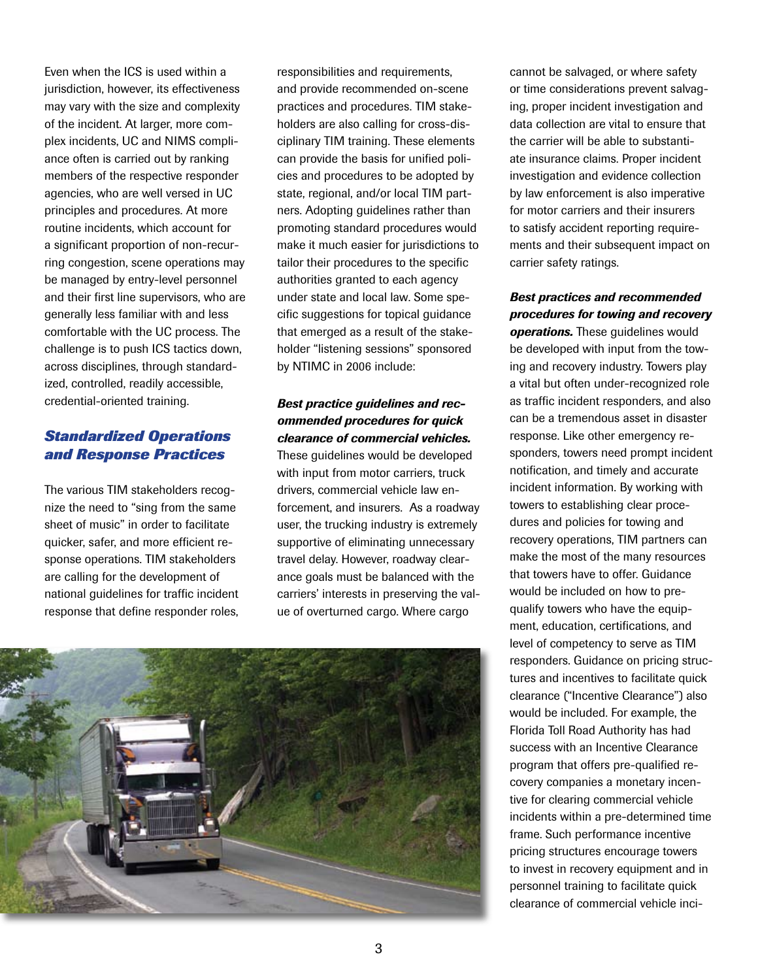Even when the ICS is used within a jurisdiction, however, its effectiveness may vary with the size and complexity of the incident. At larger, more complex incidents, UC and NIMS compliance often is carried out by ranking members of the respective responder agencies, who are well versed in UC principles and procedures. At more routine incidents, which account for a significant proportion of non-recurring congestion, scene operations may be managed by entry-level personnel and their first line supervisors, who are generally less familiar with and less comfortable with the UC process. The challenge is to push ICS tactics down, across disciplines, through standardized, controlled, readily accessible, credential-oriented training.

# *Standardized Operations and Response Practices*

The various TIM stakeholders recognize the need to "sing from the same sheet of music" in order to facilitate quicker, safer, and more efficient response operations. TIM stakeholders are calling for the development of national guidelines for traffic incident response that define responder roles,

responsibilities and requirements, and provide recommended on-scene practices and procedures. TIM stakeholders are also calling for cross-disciplinary TIM training. These elements can provide the basis for unified policies and procedures to be adopted by state, regional, and/or local TIM partners. Adopting guidelines rather than promoting standard procedures would make it much easier for jurisdictions to tailor their procedures to the specific authorities granted to each agency under state and local law. Some specific suggestions for topical guidance that emerged as a result of the stakeholder "listening sessions" sponsored by NTIMC in 2006 include:

# *Best practice guidelines and recommended procedures for quick clearance of commercial vehicles.*

These guidelines would be developed with input from motor carriers, truck drivers, commercial vehicle law enforcement, and insurers. As a roadway user, the trucking industry is extremely supportive of eliminating unnecessary travel delay. However, roadway clearance goals must be balanced with the carriers' interests in preserving the value of overturned cargo. Where cargo



cannot be salvaged, or where safety or time considerations prevent salvaging, proper incident investigation and data collection are vital to ensure that the carrier will be able to substantiate insurance claims. Proper incident investigation and evidence collection by law enforcement is also imperative for motor carriers and their insurers to satisfy accident reporting requirements and their subsequent impact on carrier safety ratings.

## *Best practices and recommended procedures for towing and recovery*

*operations.* These guidelines would be developed with input from the towing and recovery industry. Towers play a vital but often under-recognized role as traffic incident responders, and also can be a tremendous asset in disaster response. Like other emergency responders, towers need prompt incident notification, and timely and accurate incident information. By working with towers to establishing clear procedures and policies for towing and recovery operations, TIM partners can make the most of the many resources that towers have to offer. Guidance would be included on how to prequalify towers who have the equipment, education, certifications, and level of competency to serve as TIM responders. Guidance on pricing structures and incentives to facilitate quick clearance ("Incentive Clearance") also would be included. For example, the Florida Toll Road Authority has had success with an Incentive Clearance program that offers pre-qualified recovery companies a monetary incentive for clearing commercial vehicle incidents within a pre-determined time frame. Such performance incentive pricing structures encourage towers to invest in recovery equipment and in personnel training to facilitate quick clearance of commercial vehicle inci-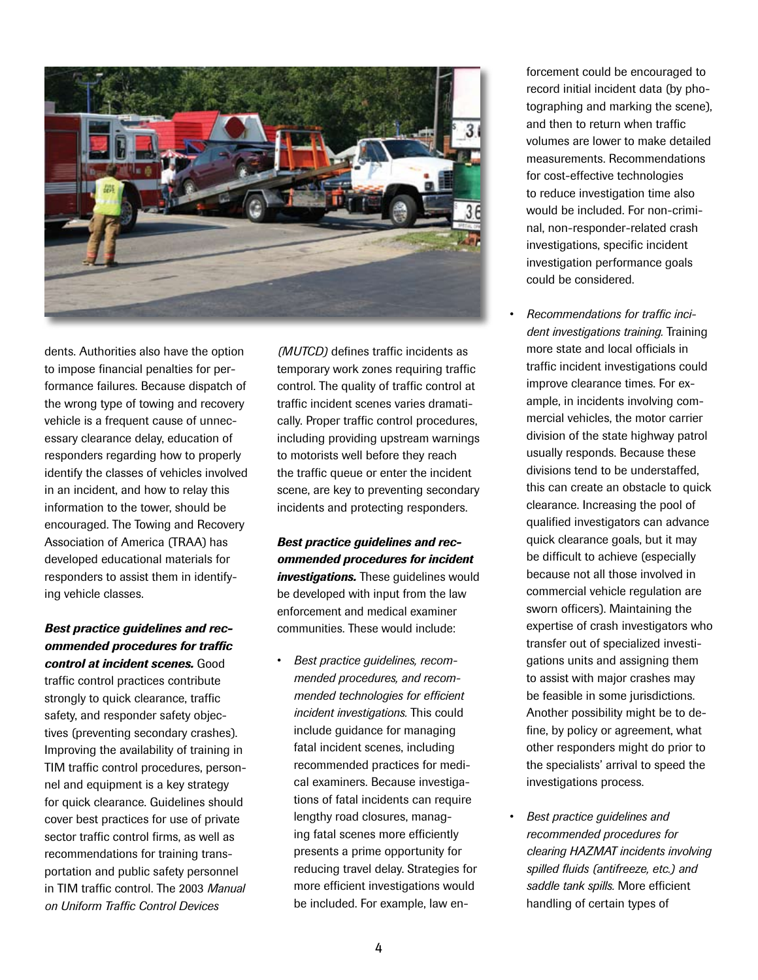

dents. Authorities also have the option to impose financial penalties for performance failures. Because dispatch of the wrong type of towing and recovery vehicle is a frequent cause of unnecessary clearance delay, education of responders regarding how to properly identify the classes of vehicles involved in an incident, and how to relay this information to the tower, should be encouraged. The Towing and Recovery Association of America (TRAA) has developed educational materials for responders to assist them in identifying vehicle classes.

#### *Best practice guidelines and recommended procedures for traffic control at incident scenes.* Good

traffic control practices contribute strongly to quick clearance, traffic safety, and responder safety objectives (preventing secondary crashes). Improving the availability of training in TIM traffic control procedures, personnel and equipment is a key strategy for quick clearance. Guidelines should cover best practices for use of private sector traffic control firms, as well as recommendations for training transportation and public safety personnel in TIM traffic control. The 2003 *Manual on Uniform Traffic Control Devices* 

*(MUTCD)* defines traffic incidents as temporary work zones requiring traffic control. The quality of traffic control at traffic incident scenes varies dramatically. Proper traffic control procedures, including providing upstream warnings to motorists well before they reach the traffic queue or enter the incident scene, are key to preventing secondary incidents and protecting responders.

# *Best practice guidelines and recommended procedures for incident investigations.* These guidelines would be developed with input from the law enforcement and medical examiner communities. These would include:

• *Best practice guidelines, recommended procedures, and recommended technologies for efficient incident investigations.* This could include guidance for managing fatal incident scenes, including recommended practices for medical examiners. Because investigations of fatal incidents can require lengthy road closures, managing fatal scenes more efficiently presents a prime opportunity for reducing travel delay. Strategies for more efficient investigations would be included. For example, law enforcement could be encouraged to record initial incident data (by photographing and marking the scene), and then to return when traffic volumes are lower to make detailed measurements. Recommendations for cost-effective technologies to reduce investigation time also would be included. For non-criminal, non-responder-related crash investigations, specific incident investigation performance goals could be considered.

- *Recommendations for traffic incident investigations training.* Training more state and local officials in traffic incident investigations could improve clearance times. For example, in incidents involving commercial vehicles, the motor carrier division of the state highway patrol usually responds. Because these divisions tend to be understaffed, this can create an obstacle to quick clearance. Increasing the pool of qualified investigators can advance quick clearance goals, but it may be difficult to achieve (especially because not all those involved in commercial vehicle regulation are sworn officers). Maintaining the expertise of crash investigators who transfer out of specialized investigations units and assigning them to assist with major crashes may be feasible in some jurisdictions. Another possibility might be to define, by policy or agreement, what other responders might do prior to the specialists' arrival to speed the investigations process.
- *Best practice guidelines and recommended procedures for clearing HAZMAT incidents involving spilled fluids (antifreeze, etc.) and saddle tank spills.* More efficient handling of certain types of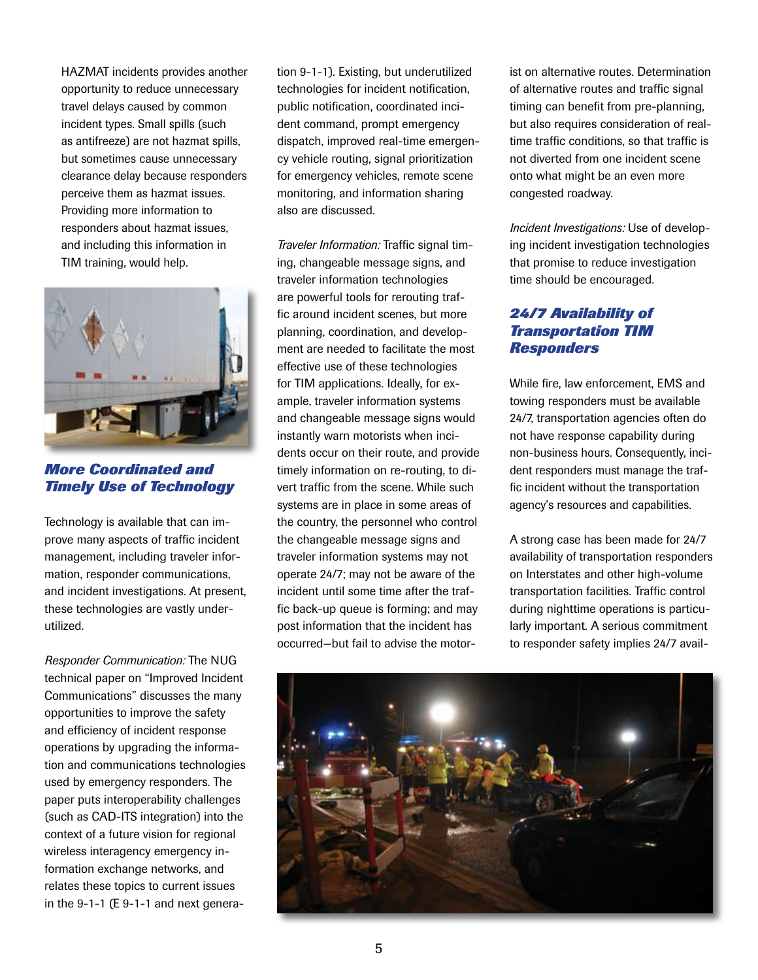HAZMAT incidents provides another opportunity to reduce unnecessary travel delays caused by common incident types. Small spills (such as antifreeze) are not hazmat spills, but sometimes cause unnecessary clearance delay because responders perceive them as hazmat issues. Providing more information to responders about hazmat issues, and including this information in TIM training, would help.



*More Coordinated and Timely Use of Technology* 

Technology is available that can improve many aspects of traffic incident management, including traveler information, responder communications, and incident investigations. At present, these technologies are vastly underutilized.

*Responder Communication:* The NUG technical paper on "Improved Incident Communications" discusses the many opportunities to improve the safety and efficiency of incident response operations by upgrading the information and communications technologies used by emergency responders. The paper puts interoperability challenges (such as CAD-ITS integration) into the context of a future vision for regional wireless interagency emergency information exchange networks, and relates these topics to current issues in the 9-1-1 (E 9-1-1 and next genera-

tion 9-1-1). Existing, but underutilized technologies for incident notification, public notification, coordinated incident command, prompt emergency dispatch, improved real-time emergency vehicle routing, signal prioritization for emergency vehicles, remote scene monitoring, and information sharing also are discussed.

*Traveler Information:* Traffic signal timing, changeable message signs, and traveler information technologies are powerful tools for rerouting traffic around incident scenes, but more planning, coordination, and development are needed to facilitate the most effective use of these technologies for TIM applications. Ideally, for example, traveler information systems and changeable message signs would instantly warn motorists when incidents occur on their route, and provide timely information on re-routing, to divert traffic from the scene. While such systems are in place in some areas of the country, the personnel who control the changeable message signs and traveler information systems may not operate 24/7; may not be aware of the incident until some time after the traffic back-up queue is forming; and may post information that the incident has occurred—but fail to advise the motorist on alternative routes. Determination of alternative routes and traffic signal timing can benefit from pre-planning, but also requires consideration of realtime traffic conditions, so that traffic is not diverted from one incident scene onto what might be an even more congested roadway.

*Incident Investigations:* Use of developing incident investigation technologies that promise to reduce investigation time should be encouraged.

# *24/7 Availability of Transportation TIM Responders*

While fire, law enforcement, EMS and towing responders must be available 24/7, transportation agencies often do not have response capability during non-business hours. Consequently, incident responders must manage the traffic incident without the transportation agency's resources and capabilities.

A strong case has been made for 24/7 availability of transportation responders on Interstates and other high-volume transportation facilities. Traffic control during nighttime operations is particularly important. A serious commitment to responder safety implies 24/7 avail-

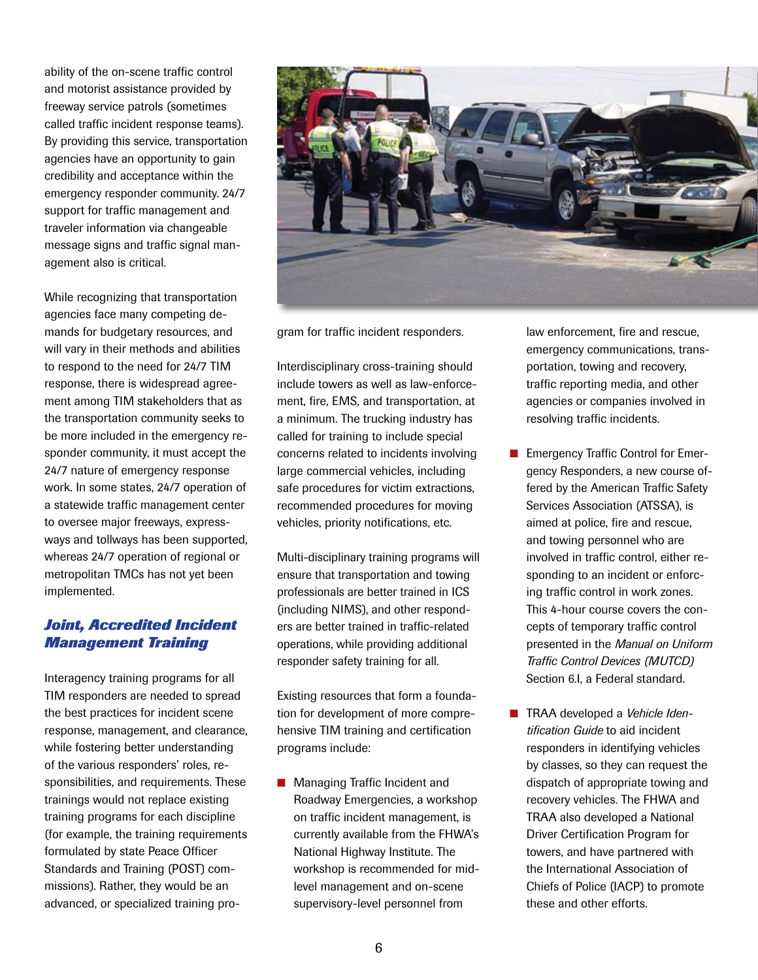ability of the on-scene traffic control and motorist assistance provided by freeway service patrols (sometimes called traffic incident response teams). By providing this service, transportation agencies have an opportunity to gain credibility and acceptance within the emergency responder community. 24/7 support for traffic management and traveler information via changeable message signs and traffic signal management also is critical.

While recognizing that transportation agencies face many competing demands for budgetary resources, and will vary in their methods and abilities to respond to the need for 24/7 TIM response, there is widespread agreement among TIM stakeholders that as the transportation community seeks to be more included in the emergency responder community, it must accept the 24/7 nature of emergency response work. In some states, 24/7 operation of a statewide traffic management center to oversee major freeways, expressways and tollways has been supported, whereas 24/7 operation of regional or metropolitan TMCs has not yet been implemented.

## *Joint, Accredited Incident Management Training*

Interagency training programs for all TIM responders are needed to spread the best practices for incident scene response, management, and clearance, while fostering better understanding of the various responders' roles, responsibilities, and requirements. These trainings would not replace existing training programs for each discipline (for example, the training requirements formulated by state Peace Officer Standards and Training (POST) commissions). Rather, they would be an advanced, or specialized training pro-



gram for traffic incident responders.

Interdisciplinary cross-training should include towers as well as law-enforcement, fire, EMS, and transportation, at a minimum. The trucking industry has called for training to include special concerns related to incidents involving large commercial vehicles, including safe procedures for victim extractions, recommended procedures for moving vehicles, priority notifications, etc.

Multi-disciplinary training programs will ensure that transportation and towing professionals are better trained in ICS (including NIMS), and other responders are better trained in traffic-related operations, while providing additional responder safety training for all.

Existing resources that form a foundation for development of more comprehensive TIM training and certification programs include:

■ Managing Traffic Incident and Roadway Emergencies, a workshop on traffic incident management, is currently available from the FHWA's National Highway Institute. The workshop is recommended for midlevel management and on-scene supervisory-level personnel from

law enforcement, fire and rescue, emergency communications, transportation, towing and recovery, traffic reporting media, and other agencies or companies involved in resolving traffic incidents.

- **n** Emergency Traffic Control for Emergency Responders, a new course offered by the American Traffic Safety Services Association (ATSSA), is aimed at police, fire and rescue, and towing personnel who are involved in traffic control, either responding to an incident or enforcing traffic control in work zones. This 4-hour course covers the concepts of temporary traffic control presented in the *Manual on Uniform Traffic Control Devices (MUTCD)* Section 6.I, a Federal standard.
- TRAA developed a *Vehicle Identification Guide* to aid incident responders in identifying vehicles by classes, so they can request the dispatch of appropriate towing and recovery vehicles. The FHWA and TRAA also developed a National Driver Certification Program for towers, and have partnered with the International Association of Chiefs of Police (IACP) to promote these and other efforts.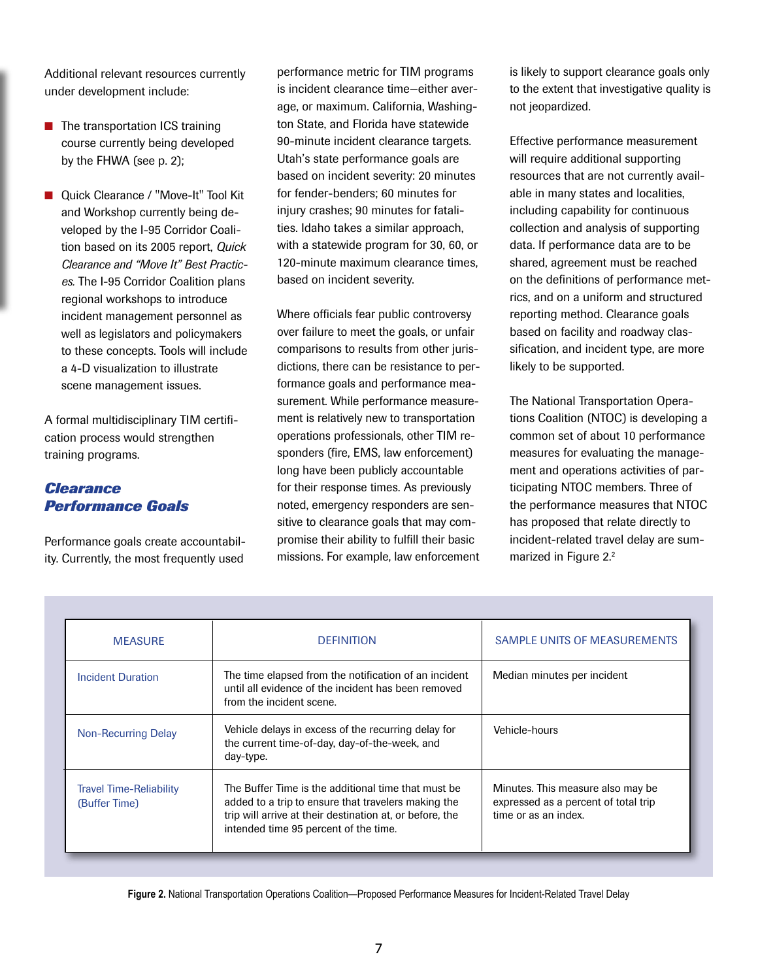Additional relevant resources currently under development include:

- $\blacksquare$  The transportation ICS training course currently being developed by the FHWA (see p. 2);
- Quick Clearance / "Move-It" Tool Kit and Workshop currently being developed by the I-95 Corridor Coalition based on its 2005 report, *Quick Clearance and "Move It" Best Practices.* The I-95 Corridor Coalition plans regional workshops to introduce incident management personnel as well as legislators and policymakers to these concepts. Tools will include a 4-D visualization to illustrate scene management issues.

A formal multidisciplinary TIM certification process would strengthen training programs.

## *Clearance Performance Goals*

Performance goals create accountability. Currently, the most frequently used

performance metric for TIM programs is incident clearance time—either average, or maximum. California, Washington State, and Florida have statewide 90-minute incident clearance targets. Utah's state performance goals are based on incident severity: 20 minutes for fender-benders; 60 minutes for injury crashes; 90 minutes for fatalities. Idaho takes a similar approach, with a statewide program for 30, 60, or 120-minute maximum clearance times, based on incident severity.

Where officials fear public controversy over failure to meet the goals, or unfair comparisons to results from other jurisdictions, there can be resistance to performance goals and performance measurement. While performance measurement is relatively new to transportation operations professionals, other TIM responders (fire, EMS, law enforcement) long have been publicly accountable for their response times. As previously noted, emergency responders are sensitive to clearance goals that may compromise their ability to fulfill their basic missions. For example, law enforcement

is likely to support clearance goals only to the extent that investigative quality is not jeopardized.

Effective performance measurement will require additional supporting resources that are not currently available in many states and localities, including capability for continuous collection and analysis of supporting data. If performance data are to be shared, agreement must be reached on the definitions of performance metrics, and on a uniform and structured reporting method. Clearance goals based on facility and roadway classification, and incident type, are more likely to be supported.

The National Transportation Operations Coalition (NTOC) is developing a common set of about 10 performance measures for evaluating the management and operations activities of participating NTOC members. Three of the performance measures that NTOC has proposed that relate directly to incident-related travel delay are summarized in Figure 2.<sup>2</sup>

| <b>MEASURE</b>                                  | <b>DEFINITION</b>                                                                                                                                                                                               | <b>SAMPLE UNITS OF MEASUREMENTS</b>                                                               |
|-------------------------------------------------|-----------------------------------------------------------------------------------------------------------------------------------------------------------------------------------------------------------------|---------------------------------------------------------------------------------------------------|
| <b>Incident Duration</b>                        | The time elapsed from the notification of an incident<br>until all evidence of the incident has been removed<br>from the incident scene.                                                                        | Median minutes per incident                                                                       |
| <b>Non-Recurring Delay</b>                      | Vehicle delays in excess of the recurring delay for<br>the current time-of-day, day-of-the-week, and<br>day-type.                                                                                               | Vehicle-hours                                                                                     |
| <b>Travel Time-Reliability</b><br>(Buffer Time) | The Buffer Time is the additional time that must be<br>added to a trip to ensure that travelers making the<br>trip will arrive at their destination at, or before, the<br>intended time 95 percent of the time. | Minutes. This measure also may be<br>expressed as a percent of total trip<br>time or as an index. |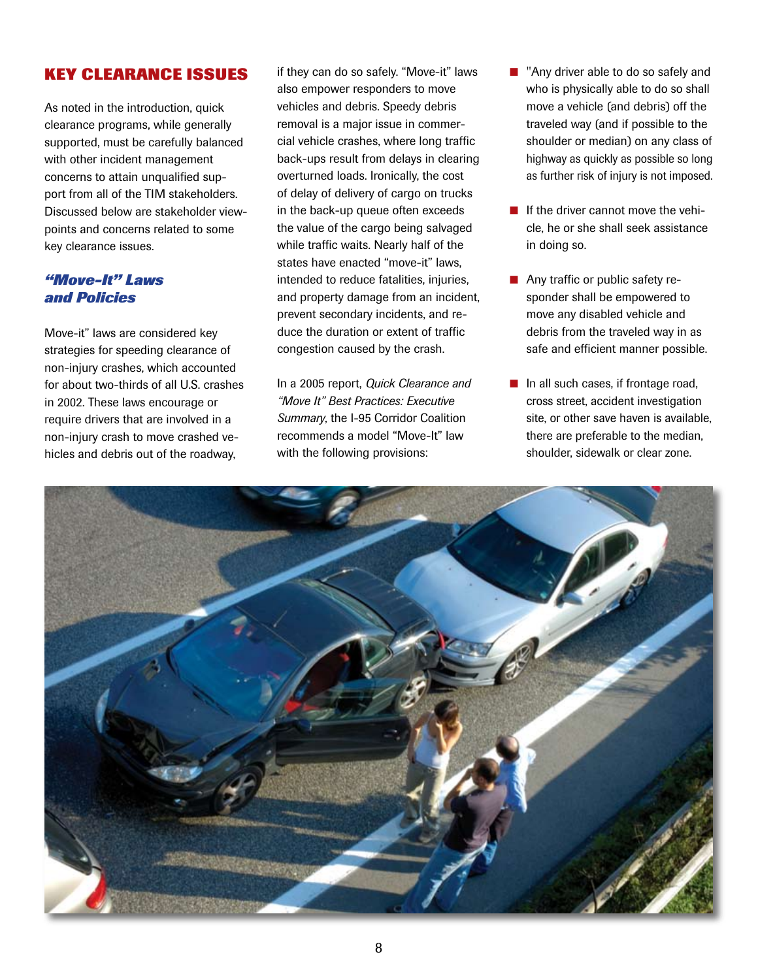# **Key Clearance Issues**

As noted in the introduction, quick clearance programs, while generally supported, must be carefully balanced with other incident management concerns to attain unqualified support from all of the TIM stakeholders. Discussed below are stakeholder viewpoints and concerns related to some key clearance issues.

# *"Move-It" Laws and Policies*

Move-it" laws are considered key strategies for speeding clearance of non-injury crashes, which accounted for about two-thirds of all U.S. crashes in 2002. These laws encourage or require drivers that are involved in a non-injury crash to move crashed vehicles and debris out of the roadway,

if they can do so safely. "Move-it" laws also empower responders to move vehicles and debris. Speedy debris removal is a major issue in commercial vehicle crashes, where long traffic back-ups result from delays in clearing overturned loads. Ironically, the cost of delay of delivery of cargo on trucks in the back-up queue often exceeds the value of the cargo being salvaged while traffic waits. Nearly half of the states have enacted "move-it" laws, intended to reduce fatalities, injuries, and property damage from an incident, prevent secondary incidents, and reduce the duration or extent of traffic congestion caused by the crash.

In a 2005 report, *Quick Clearance and "Move It" Best Practices: Executive Summary*, the I-95 Corridor Coalition recommends a model "Move-It" law with the following provisions:

- $\blacksquare$  "Any driver able to do so safely and who is physically able to do so shall move a vehicle (and debris) off the traveled way (and if possible to the shoulder or median) on any class of highway as quickly as possible so long as further risk of injury is not imposed.
- $\blacksquare$  If the driver cannot move the vehicle, he or she shall seek assistance in doing so.
- Any traffic or public safety responder shall be empowered to move any disabled vehicle and debris from the traveled way in as safe and efficient manner possible.
- $\blacksquare$  In all such cases, if frontage road, cross street, accident investigation site, or other save haven is available, there are preferable to the median, shoulder, sidewalk or clear zone.

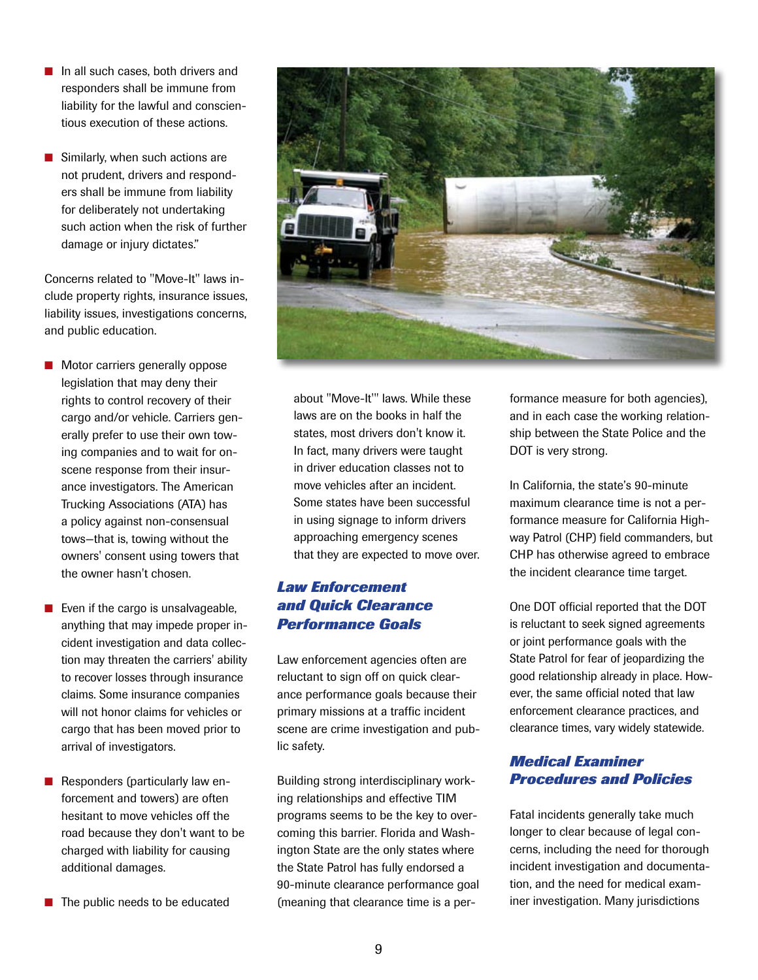- $\blacksquare$  In all such cases, both drivers and responders shall be immune from liability for the lawful and conscientious execution of these actions.
- $\blacksquare$  Similarly, when such actions are not prudent, drivers and responders shall be immune from liability for deliberately not undertaking such action when the risk of further damage or injury dictates."

Concerns related to "Move-It" laws include property rights, insurance issues, liability issues, investigations concerns, and public education.

- $\blacksquare$  Motor carriers generally oppose legislation that may deny their rights to control recovery of their cargo and/or vehicle. Carriers generally prefer to use their own towing companies and to wait for onscene response from their insurance investigators. The American Trucking Associations (ATA) has a policy against non-consensual tows—that is, towing without the owners' consent using towers that the owner hasn't chosen.
- $\blacksquare$  Even if the cargo is unsalvageable, anything that may impede proper incident investigation and data collection may threaten the carriers' ability to recover losses through insurance claims. Some insurance companies will not honor claims for vehicles or cargo that has been moved prior to arrival of investigators.
- $\blacksquare$  Responders (particularly law enforcement and towers) are often hesitant to move vehicles off the road because they don't want to be charged with liability for causing additional damages.
- $\blacksquare$  The public needs to be educated



about "Move-It'" laws. While these laws are on the books in half the states, most drivers don't know it. In fact, many drivers were taught in driver education classes not to move vehicles after an incident. Some states have been successful in using signage to inform drivers approaching emergency scenes that they are expected to move over.

# *Law Enforcement and Quick Clearance Performance Goals*

Law enforcement agencies often are reluctant to sign off on quick clearance performance goals because their primary missions at a traffic incident scene are crime investigation and public safety.

Building strong interdisciplinary working relationships and effective TIM programs seems to be the key to overcoming this barrier. Florida and Washington State are the only states where the State Patrol has fully endorsed a 90-minute clearance performance goal (meaning that clearance time is a performance measure for both agencies), and in each case the working relationship between the State Police and the DOT is very strong.

In California, the state's 90-minute maximum clearance time is not a performance measure for California Highway Patrol (CHP) field commanders, but CHP has otherwise agreed to embrace the incident clearance time target.

One DOT official reported that the DOT is reluctant to seek signed agreements or joint performance goals with the State Patrol for fear of jeopardizing the good relationship already in place. However, the same official noted that law enforcement clearance practices, and clearance times, vary widely statewide.

# *Medical Examiner Procedures and Policies*

Fatal incidents generally take much longer to clear because of legal concerns, including the need for thorough incident investigation and documentation, and the need for medical examiner investigation. Many jurisdictions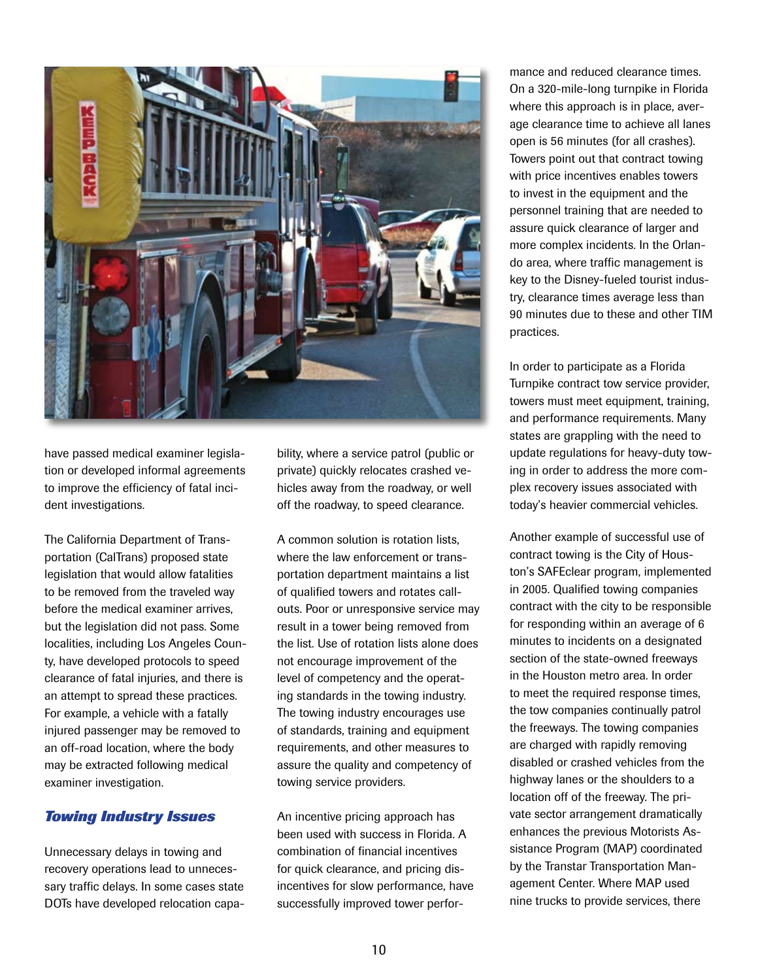

have passed medical examiner legislation or developed informal agreements to improve the efficiency of fatal incident investigations.

The California Department of Transportation (CalTrans) proposed state legislation that would allow fatalities to be removed from the traveled way before the medical examiner arrives, but the legislation did not pass. Some localities, including Los Angeles County, have developed protocols to speed clearance of fatal injuries, and there is an attempt to spread these practices. For example, a vehicle with a fatally injured passenger may be removed to an off-road location, where the body may be extracted following medical examiner investigation.

#### *Towing Industry Issues*

Unnecessary delays in towing and recovery operations lead to unnecessary traffic delays. In some cases state DOTs have developed relocation capability, where a service patrol (public or private) quickly relocates crashed vehicles away from the roadway, or well off the roadway, to speed clearance.

A common solution is rotation lists, where the law enforcement or transportation department maintains a list of qualified towers and rotates callouts. Poor or unresponsive service may result in a tower being removed from the list. Use of rotation lists alone does not encourage improvement of the level of competency and the operating standards in the towing industry. The towing industry encourages use of standards, training and equipment requirements, and other measures to assure the quality and competency of towing service providers.

An incentive pricing approach has been used with success in Florida. A combination of financial incentives for quick clearance, and pricing disincentives for slow performance, have successfully improved tower performance and reduced clearance times. On a 320-mile-long turnpike in Florida where this approach is in place, average clearance time to achieve all lanes open is 56 minutes (for all crashes). Towers point out that contract towing with price incentives enables towers to invest in the equipment and the personnel training that are needed to assure quick clearance of larger and more complex incidents. In the Orlando area, where traffic management is key to the Disney-fueled tourist industry, clearance times average less than 90 minutes due to these and other TIM practices.

In order to participate as a Florida Turnpike contract tow service provider, towers must meet equipment, training, and performance requirements. Many states are grappling with the need to update regulations for heavy-duty towing in order to address the more complex recovery issues associated with today's heavier commercial vehicles.

Another example of successful use of contract towing is the City of Houston's SAFEclear program, implemented in 2005. Qualified towing companies contract with the city to be responsible for responding within an average of 6 minutes to incidents on a designated section of the state-owned freeways in the Houston metro area. In order to meet the required response times, the tow companies continually patrol the freeways. The towing companies are charged with rapidly removing disabled or crashed vehicles from the highway lanes or the shoulders to a location off of the freeway. The private sector arrangement dramatically enhances the previous Motorists Assistance Program (MAP) coordinated by the Transtar Transportation Management Center. Where MAP used nine trucks to provide services, there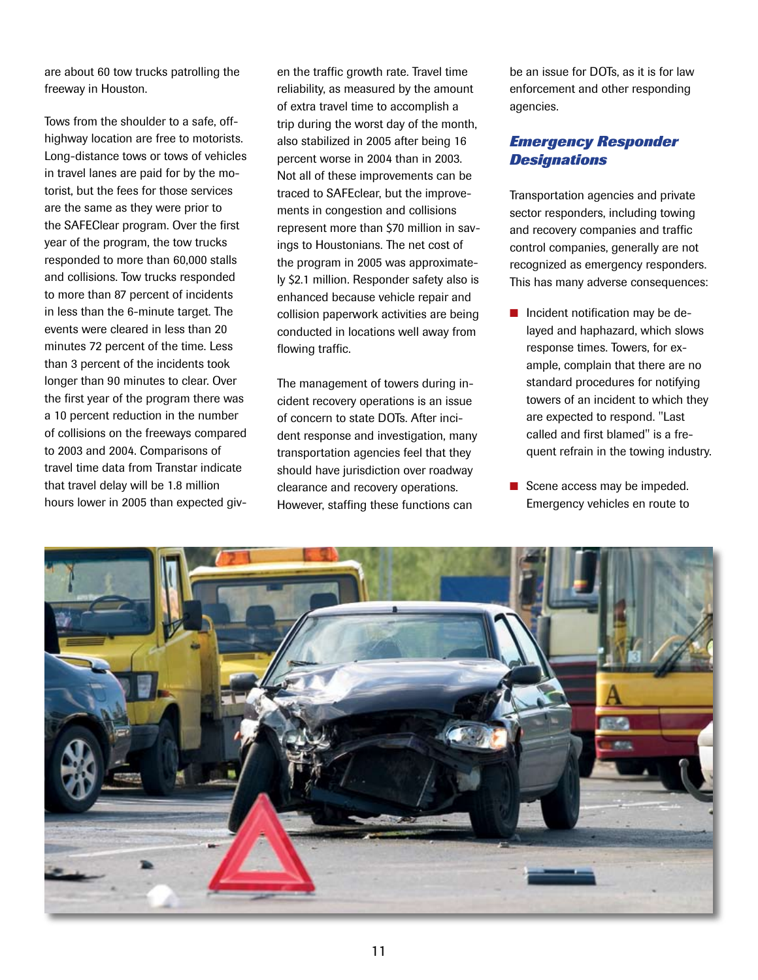are about 60 tow trucks patrolling the freeway in Houston.

Tows from the shoulder to a safe, offhighway location are free to motorists. Long-distance tows or tows of vehicles in travel lanes are paid for by the motorist, but the fees for those services are the same as they were prior to the SAFEClear program. Over the first year of the program, the tow trucks responded to more than 60,000 stalls and collisions. Tow trucks responded to more than 87 percent of incidents in less than the 6-minute target. The events were cleared in less than 20 minutes 72 percent of the time. Less than 3 percent of the incidents took longer than 90 minutes to clear. Over the first year of the program there was a 10 percent reduction in the number of collisions on the freeways compared to 2003 and 2004. Comparisons of travel time data from Transtar indicate that travel delay will be 1.8 million hours lower in 2005 than expected giv-

en the traffic growth rate. Travel time reliability, as measured by the amount of extra travel time to accomplish a trip during the worst day of the month, also stabilized in 2005 after being 16 percent worse in 2004 than in 2003. Not all of these improvements can be traced to SAFEclear, but the improvements in congestion and collisions represent more than \$70 million in savings to Houstonians. The net cost of the program in 2005 was approximately \$2.1 million. Responder safety also is enhanced because vehicle repair and collision paperwork activities are being conducted in locations well away from flowing traffic.

The management of towers during incident recovery operations is an issue of concern to state DOTs. After incident response and investigation, many transportation agencies feel that they should have jurisdiction over roadway clearance and recovery operations. However, staffing these functions can

be an issue for DOTs, as it is for law enforcement and other responding agencies.

## *Emergency Responder Designations*

Transportation agencies and private sector responders, including towing and recovery companies and traffic control companies, generally are not recognized as emergency responders. This has many adverse consequences:

- $\blacksquare$  Incident notification may be delayed and haphazard, which slows response times. Towers, for example, complain that there are no standard procedures for notifying towers of an incident to which they are expected to respond. "Last called and first blamed" is a frequent refrain in the towing industry.
- $\blacksquare$  Scene access may be impeded. Emergency vehicles en route to